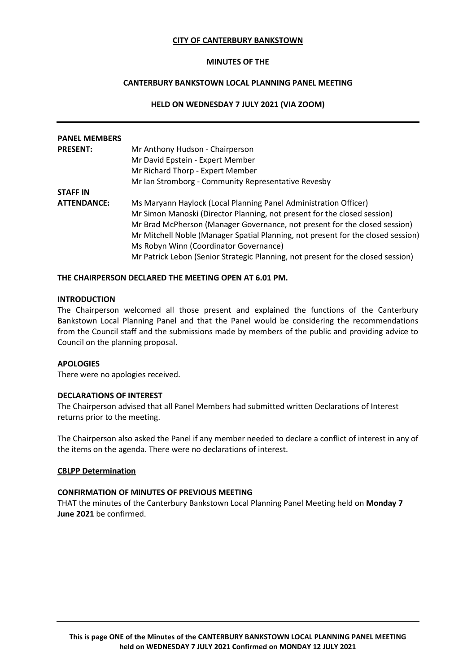#### **CITY OF CANTERBURY BANKSTOWN**

#### **MINUTES OF THE**

# **CANTERBURY BANKSTOWN LOCAL PLANNING PANEL MEETING**

## **HELD ON WEDNESDAY 7 JULY 2021 (VIA ZOOM)**

| <b>PANEL MEMBERS</b> |                                                                                  |
|----------------------|----------------------------------------------------------------------------------|
| <b>PRESENT:</b>      | Mr Anthony Hudson - Chairperson                                                  |
|                      | Mr David Epstein - Expert Member                                                 |
|                      | Mr Richard Thorp - Expert Member                                                 |
|                      | Mr Ian Stromborg - Community Representative Revesby                              |
| <b>STAFF IN</b>      |                                                                                  |
| <b>ATTENDANCE:</b>   | Ms Maryann Haylock (Local Planning Panel Administration Officer)                 |
|                      | Mr Simon Manoski (Director Planning, not present for the closed session)         |
|                      | Mr Brad McPherson (Manager Governance, not present for the closed session)       |
|                      | Mr Mitchell Noble (Manager Spatial Planning, not present for the closed session) |
|                      | Ms Robyn Winn (Coordinator Governance)                                           |
|                      | Mr Patrick Lebon (Senior Strategic Planning, not present for the closed session) |

#### **THE CHAIRPERSON DECLARED THE MEETING OPEN AT 6.01 PM.**

## **INTRODUCTION**

The Chairperson welcomed all those present and explained the functions of the Canterbury Bankstown Local Planning Panel and that the Panel would be considering the recommendations from the Council staff and the submissions made by members of the public and providing advice to Council on the planning proposal.

#### **APOLOGIES**

There were no apologies received.

#### **DECLARATIONS OF INTEREST**

The Chairperson advised that all Panel Members had submitted written Declarations of Interest returns prior to the meeting.

The Chairperson also asked the Panel if any member needed to declare a conflict of interest in any of the items on the agenda. There were no declarations of interest.

#### **CBLPP Determination**

## **CONFIRMATION OF MINUTES OF PREVIOUS MEETING**

THAT the minutes of the Canterbury Bankstown Local Planning Panel Meeting held on **Monday 7 June 2021** be confirmed.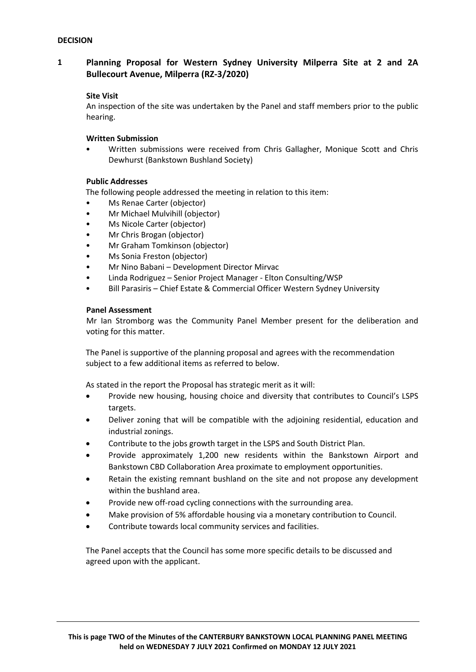# **1 Planning Proposal for Western Sydney University Milperra Site at 2 and 2A Bullecourt Avenue, Milperra (RZ-3/2020)**

## **Site Visit**

An inspection of the site was undertaken by the Panel and staff members prior to the public hearing.

## **Written Submission**

• Written submissions were received from Chris Gallagher, Monique Scott and Chris Dewhurst (Bankstown Bushland Society)

### **Public Addresses**

The following people addressed the meeting in relation to this item:

- Ms Renae Carter (objector)
- Mr Michael Mulvihill (objector)
- Ms Nicole Carter (objector)
- Mr Chris Brogan (objector)
- Mr Graham Tomkinson (objector)
- Ms Sonia Freston (objector)
- Mr Nino Babani Development Director Mirvac
- Linda Rodriguez Senior Project Manager Elton Consulting/WSP
- Bill Parasiris Chief Estate & Commercial Officer Western Sydney University

### **Panel Assessment**

Mr Ian Stromborg was the Community Panel Member present for the deliberation and voting for this matter.

The Panel is supportive of the planning proposal and agrees with the recommendation subject to a few additional items as referred to below.

As stated in the report the Proposal has strategic merit as it will:

- Provide new housing, housing choice and diversity that contributes to Council's LSPS targets.
- Deliver zoning that will be compatible with the adjoining residential, education and industrial zonings.
- Contribute to the jobs growth target in the LSPS and South District Plan.
- Provide approximately 1,200 new residents within the Bankstown Airport and Bankstown CBD Collaboration Area proximate to employment opportunities.
- Retain the existing remnant bushland on the site and not propose any development within the bushland area.
- Provide new off-road cycling connections with the surrounding area.
- Make provision of 5% affordable housing via a monetary contribution to Council.
- Contribute towards local community services and facilities.

The Panel accepts that the Council has some more specific details to be discussed and agreed upon with the applicant.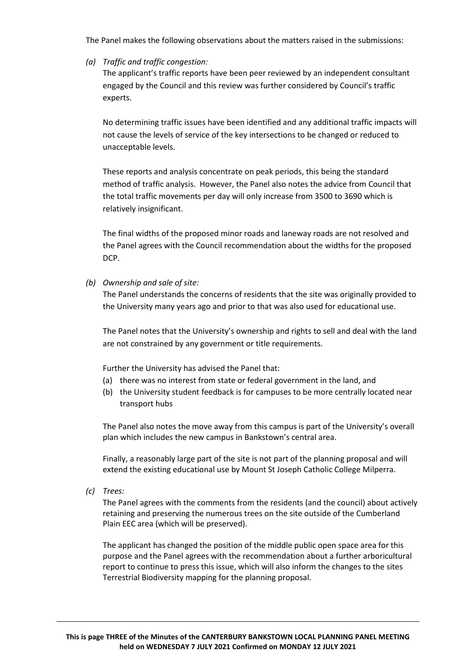The Panel makes the following observations about the matters raised in the submissions:

*(a) Traffic and traffic congestion:*

The applicant's traffic reports have been peer reviewed by an independent consultant engaged by the Council and this review was further considered by Council's traffic experts.

No determining traffic issues have been identified and any additional traffic impacts will not cause the levels of service of the key intersections to be changed or reduced to unacceptable levels.

These reports and analysis concentrate on peak periods, this being the standard method of traffic analysis. However, the Panel also notes the advice from Council that the total traffic movements per day will only increase from 3500 to 3690 which is relatively insignificant.

The final widths of the proposed minor roads and laneway roads are not resolved and the Panel agrees with the Council recommendation about the widths for the proposed DCP.

*(b) Ownership and sale of site:*

The Panel understands the concerns of residents that the site was originally provided to the University many years ago and prior to that was also used for educational use.

The Panel notes that the University's ownership and rights to sell and deal with the land are not constrained by any government or title requirements.

Further the University has advised the Panel that:

- (a) there was no interest from state or federal government in the land, and
- (b) the University student feedback is for campuses to be more centrally located near transport hubs

The Panel also notes the move away from this campus is part of the University's overall plan which includes the new campus in Bankstown's central area.

Finally, a reasonably large part of the site is not part of the planning proposal and will extend the existing educational use by Mount St Joseph Catholic College Milperra.

*(c) Trees:*

The Panel agrees with the comments from the residents (and the council) about actively retaining and preserving the numerous trees on the site outside of the Cumberland Plain EEC area (which will be preserved).

The applicant has changed the position of the middle public open space area for this purpose and the Panel agrees with the recommendation about a further arboricultural report to continue to press this issue, which will also inform the changes to the sites Terrestrial Biodiversity mapping for the planning proposal.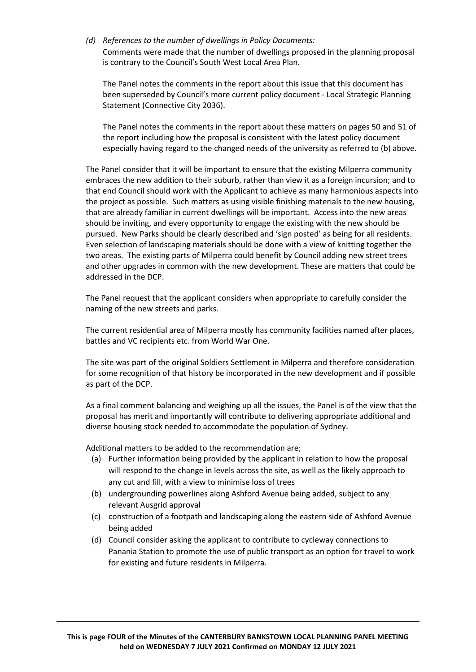*(d) References to the number of dwellings in Policy Documents:*

Comments were made that the number of dwellings proposed in the planning proposal is contrary to the Council's South West Local Area Plan.

The Panel notes the comments in the report about this issue that this document has been superseded by Council's more current policy document - Local Strategic Planning Statement (Connective City 2036).

The Panel notes the comments in the report about these matters on pages 50 and 51 of the report including how the proposal is consistent with the latest policy document especially having regard to the changed needs of the university as referred to (b) above.

The Panel consider that it will be important to ensure that the existing Milperra community embraces the new addition to their suburb, rather than view it as a foreign incursion; and to that end Council should work with the Applicant to achieve as many harmonious aspects into the project as possible. Such matters as using visible finishing materials to the new housing, that are already familiar in current dwellings will be important. Access into the new areas should be inviting, and every opportunity to engage the existing with the new should be pursued. New Parks should be clearly described and 'sign posted' as being for all residents. Even selection of landscaping materials should be done with a view of knitting together the two areas. The existing parts of Milperra could benefit by Council adding new street trees and other upgrades in common with the new development. These are matters that could be addressed in the DCP.

The Panel request that the applicant considers when appropriate to carefully consider the naming of the new streets and parks.

The current residential area of Milperra mostly has community facilities named after places, battles and VC recipients etc. from World War One.

The site was part of the original Soldiers Settlement in Milperra and therefore consideration for some recognition of that history be incorporated in the new development and if possible as part of the DCP.

As a final comment balancing and weighing up all the issues, the Panel is of the view that the proposal has merit and importantly will contribute to delivering appropriate additional and diverse housing stock needed to accommodate the population of Sydney.

Additional matters to be added to the recommendation are;

- (a) Further information being provided by the applicant in relation to how the proposal will respond to the change in levels across the site, as well as the likely approach to any cut and fill, with a view to minimise loss of trees
- (b) undergrounding powerlines along Ashford Avenue being added, subject to any relevant Ausgrid approval
- (c) construction of a footpath and landscaping along the eastern side of Ashford Avenue being added
- (d) Council consider asking the applicant to contribute to cycleway connections to Panania Station to promote the use of public transport as an option for travel to work for existing and future residents in Milperra.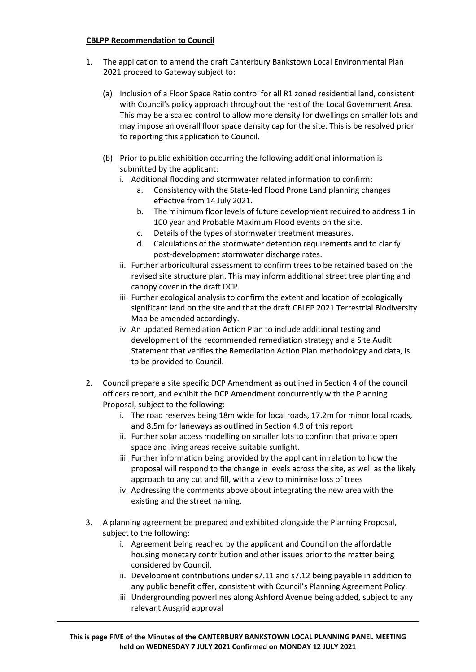## **CBLPP Recommendation to Council**

- 1. The application to amend the draft Canterbury Bankstown Local Environmental Plan 2021 proceed to Gateway subject to:
	- (a) Inclusion of a Floor Space Ratio control for all R1 zoned residential land, consistent with Council's policy approach throughout the rest of the Local Government Area. This may be a scaled control to allow more density for dwellings on smaller lots and may impose an overall floor space density cap for the site. This is be resolved prior to reporting this application to Council.
	- (b) Prior to public exhibition occurring the following additional information is submitted by the applicant:
		- i. Additional flooding and stormwater related information to confirm:
			- a. Consistency with the State-led Flood Prone Land planning changes effective from 14 July 2021.
			- b. The minimum floor levels of future development required to address 1 in 100 year and Probable Maximum Flood events on the site.
			- c. Details of the types of stormwater treatment measures.
			- d. Calculations of the stormwater detention requirements and to clarify post-development stormwater discharge rates.
		- ii. Further arboricultural assessment to confirm trees to be retained based on the revised site structure plan. This may inform additional street tree planting and canopy cover in the draft DCP.
		- iii. Further ecological analysis to confirm the extent and location of ecologically significant land on the site and that the draft CBLEP 2021 Terrestrial Biodiversity Map be amended accordingly.
		- iv. An updated Remediation Action Plan to include additional testing and development of the recommended remediation strategy and a Site Audit Statement that verifies the Remediation Action Plan methodology and data, is to be provided to Council.
- 2. Council prepare a site specific DCP Amendment as outlined in Section 4 of the council officers report, and exhibit the DCP Amendment concurrently with the Planning Proposal, subject to the following:
	- i. The road reserves being 18m wide for local roads, 17.2m for minor local roads, and 8.5m for laneways as outlined in Section 4.9 of this report.
	- ii. Further solar access modelling on smaller lots to confirm that private open space and living areas receive suitable sunlight.
	- iii. Further information being provided by the applicant in relation to how the proposal will respond to the change in levels across the site, as well as the likely approach to any cut and fill, with a view to minimise loss of trees
	- iv. Addressing the comments above about integrating the new area with the existing and the street naming.
- 3. A planning agreement be prepared and exhibited alongside the Planning Proposal, subject to the following:
	- i. Agreement being reached by the applicant and Council on the affordable housing monetary contribution and other issues prior to the matter being considered by Council.
	- ii. Development contributions under s7.11 and s7.12 being payable in addition to any public benefit offer, consistent with Council's Planning Agreement Policy.
	- iii. Undergrounding powerlines along Ashford Avenue being added, subject to any relevant Ausgrid approval